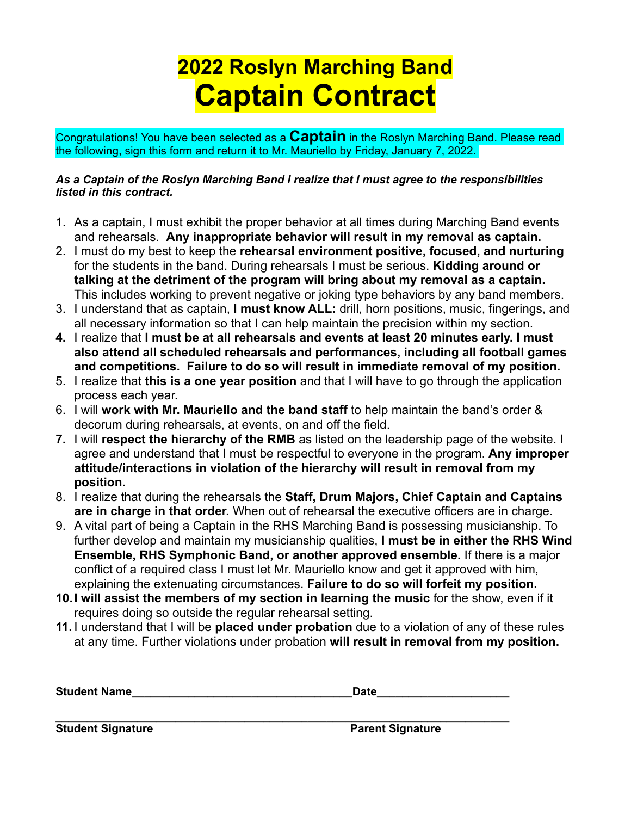# **2022 Roslyn Marching Band Captain Contract**

Congratulations! You have been selected as a **Captain** in the Roslyn Marching Band. Please read the following, sign this form and return it to Mr. Mauriello by Friday, January 7, 2022.

### *As a Captain of the Roslyn Marching Band I realize that I must agree to the responsibilities listed in this contract.*

- 1. As a captain, I must exhibit the proper behavior at all times during Marching Band events and rehearsals. **Any inappropriate behavior will result in my removal as captain.**
- 2. I must do my best to keep the **rehearsal environment positive, focused, and nurturing** for the students in the band. During rehearsals I must be serious. **Kidding around or talking at the detriment of the program will bring about my removal as a captain.**  This includes working to prevent negative or joking type behaviors by any band members.
- 3. I understand that as captain, **I must know ALL:** drill, horn positions, music, fingerings, and all necessary information so that I can help maintain the precision within my section.
- **4.** I realize that **I must be at all rehearsals and events at least 20 minutes early. I must also attend all scheduled rehearsals and performances, including all football games and competitions. Failure to do so will result in immediate removal of my position.**
- 5. I realize that **this is a one year position** and that I will have to go through the application process each year.
- 6. I will **work with Mr. Mauriello and the band staff** to help maintain the band's order & decorum during rehearsals, at events, on and off the field.
- **7.** I will **respect the hierarchy of the RMB** as listed on the leadership page of the website. I agree and understand that I must be respectful to everyone in the program. **Any improper attitude/interactions in violation of the hierarchy will result in removal from my position.**
- 8. I realize that during the rehearsals the **Staff, Drum Majors, Chief Captain and Captains are in charge in that order.** When out of rehearsal the executive officers are in charge.
- 9. A vital part of being a Captain in the RHS Marching Band is possessing musicianship. To further develop and maintain my musicianship qualities, **I must be in either the RHS Wind Ensemble, RHS Symphonic Band, or another approved ensemble.** If there is a major conflict of a required class I must let Mr. Mauriello know and get it approved with him, explaining the extenuating circumstances. **Failure to do so will forfeit my position.**
- **10.I will assist the members of my section in learning the music** for the show, even if it requires doing so outside the regular rehearsal setting.
- **11.** I understand that I will be **placed under probation** due to a violation of any of these rules at any time. Further violations under probation **will result in removal from my position.**

| <b>Student Name</b> |  |
|---------------------|--|
|---------------------|--|

**Student Signature Community Community Student Signature**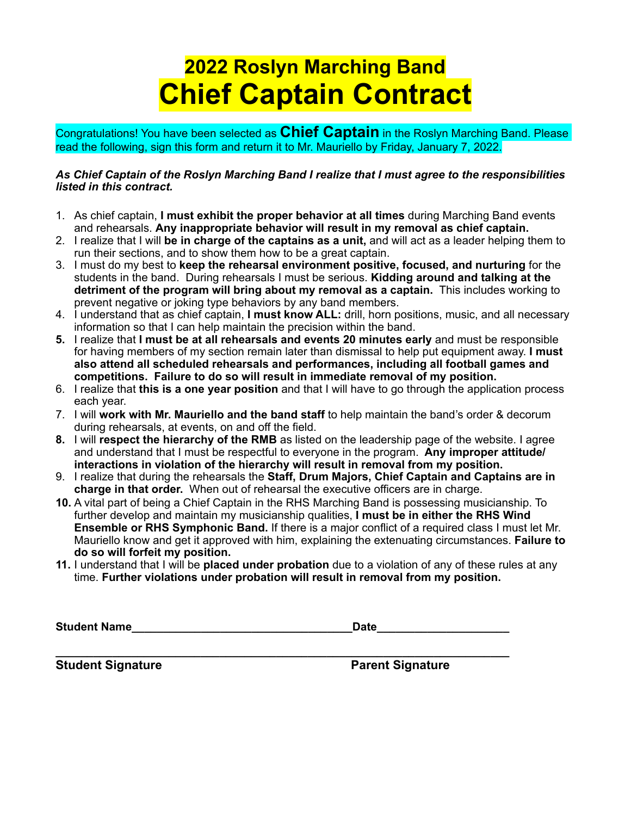# **2022 Roslyn Marching Band Chief Captain Contract**

Congratulations! You have been selected as **Chief Captain** in the Roslyn Marching Band. Please read the following, sign this form and return it to Mr. Mauriello by Friday, January 7, 2022.

### *As Chief Captain of the Roslyn Marching Band I realize that I must agree to the responsibilities listed in this contract.*

- 1. As chief captain, **I must exhibit the proper behavior at all times** during Marching Band events and rehearsals. **Any inappropriate behavior will result in my removal as chief captain.**
- 2. I realize that I will **be in charge of the captains as a unit,** and will act as a leader helping them to run their sections, and to show them how to be a great captain.
- 3. I must do my best to **keep the rehearsal environment positive, focused, and nurturing** for the students in the band. During rehearsals I must be serious. **Kidding around and talking at the detriment of the program will bring about my removal as a captain.** This includes working to prevent negative or joking type behaviors by any band members.
- 4. I understand that as chief captain, **I must know ALL:** drill, horn positions, music, and all necessary information so that I can help maintain the precision within the band.
- **5.** I realize that **I must be at all rehearsals and events 20 minutes early** and must be responsible for having members of my section remain later than dismissal to help put equipment away. **I must also attend all scheduled rehearsals and performances, including all football games and competitions. Failure to do so will result in immediate removal of my position.**
- 6. I realize that **this is a one year position** and that I will have to go through the application process each year.
- 7. I will **work with Mr. Mauriello and the band staff** to help maintain the band's order & decorum during rehearsals, at events, on and off the field.
- **8.** I will **respect the hierarchy of the RMB** as listed on the leadership page of the website. I agree and understand that I must be respectful to everyone in the program. **Any improper attitude/ interactions in violation of the hierarchy will result in removal from my position.**
- 9. I realize that during the rehearsals the **Staff, Drum Majors, Chief Captain and Captains are in charge in that order.** When out of rehearsal the executive officers are in charge.
- **10.** A vital part of being a Chief Captain in the RHS Marching Band is possessing musicianship. To further develop and maintain my musicianship qualities, **I must be in either the RHS Wind Ensemble or RHS Symphonic Band.** If there is a major conflict of a required class I must let Mr. Mauriello know and get it approved with him, explaining the extenuating circumstances. **Failure to do so will forfeit my position.**
- **11.** I understand that I will be **placed under probation** due to a violation of any of these rules at any time. **Further violations under probation will result in removal from my position.**

**Student Name** 

**\_\_\_\_\_\_\_\_\_\_\_\_\_\_\_\_\_\_\_\_\_\_\_\_\_\_\_\_\_\_\_\_\_\_\_\_\_\_\_\_\_\_\_\_\_\_\_\_\_\_\_\_\_\_\_\_\_\_\_\_\_\_\_\_\_\_\_\_\_\_\_\_ Student Signature Parent Signature**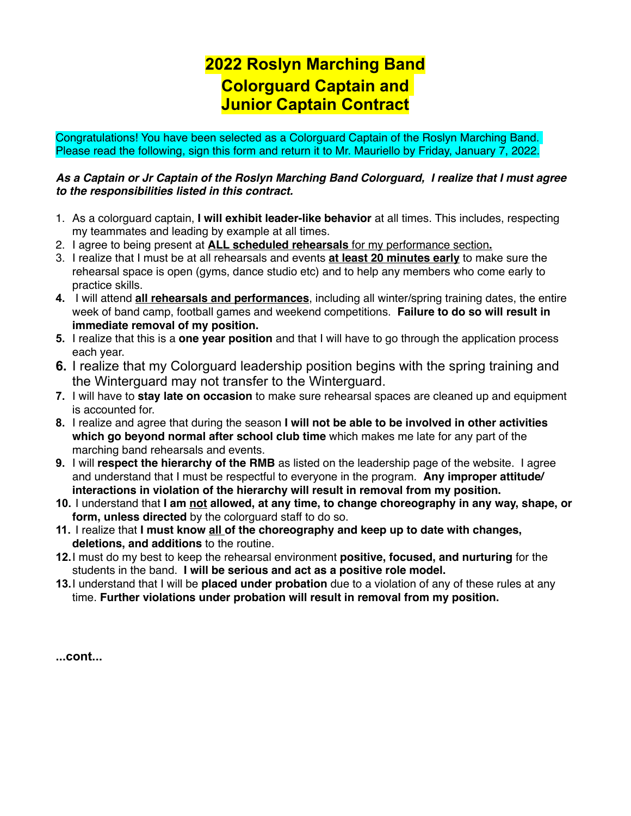### **2022 Roslyn Marching Band Colorguard Captain and Junior Captain Contract**

Congratulations! You have been selected as a Colorguard Captain of the Roslyn Marching Band. Please read the following, sign this form and return it to Mr. Mauriello by Friday, January 7, 2022.

### *As a Captain or Jr Captain of the Roslyn Marching Band Colorguard, I realize that I must agree to the responsibilities listed in this contract.*

- 1. As a colorguard captain, **I will exhibit leader-like behavior** at all times. This includes, respecting my teammates and leading by example at all times.
- 2. I agree to being present at **ALL scheduled rehearsals** for my performance section**.**
- 3. I realize that I must be at all rehearsals and events **at least 20 minutes early** to make sure the rehearsal space is open (gyms, dance studio etc) and to help any members who come early to practice skills.
- **4.** I will attend **all rehearsals and performances**, including all winter/spring training dates, the entire week of band camp, football games and weekend competitions. **Failure to do so will result in immediate removal of my position.**
- **5.** I realize that this is a **one year position** and that I will have to go through the application process each year.
- **6.** I realize that my Colorguard leadership position begins with the spring training and the Winterguard may not transfer to the Winterguard.
- **7.** I will have to **stay late on occasion** to make sure rehearsal spaces are cleaned up and equipment is accounted for.
- **8.** I realize and agree that during the season **I will not be able to be involved in other activities which go beyond normal after school club time** which makes me late for any part of the marching band rehearsals and events.
- **9.** I will **respect the hierarchy of the RMB** as listed on the leadership page of the website. I agree and understand that I must be respectful to everyone in the program. **Any improper attitude/ interactions in violation of the hierarchy will result in removal from my position.**
- **10.** I understand that **I am not allowed, at any time, to change choreography in any way, shape, or form, unless directed** by the colorguard staff to do so.
- **11.** I realize that **I must know all of the choreography and keep up to date with changes, deletions, and additions** to the routine.
- **12.**I must do my best to keep the rehearsal environment **positive, focused, and nurturing** for the students in the band. **I will be serious and act as a positive role model.**
- **13.**I understand that I will be **placed under probation** due to a violation of any of these rules at any time. **Further violations under probation will result in removal from my position.**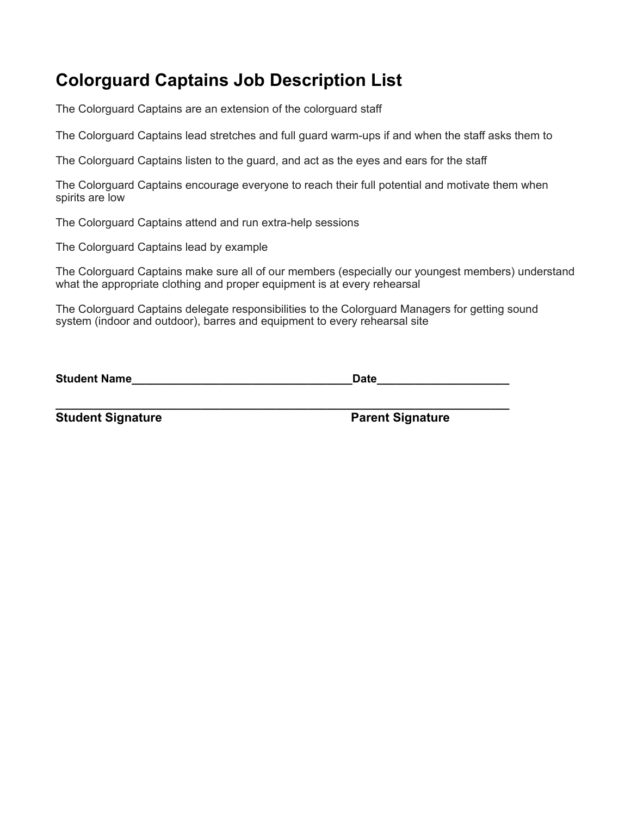# **Colorguard Captains Job Description List**

The Colorguard Captains are an extension of the colorguard staff

The Colorguard Captains lead stretches and full guard warm-ups if and when the staff asks them to

The Colorguard Captains listen to the guard, and act as the eyes and ears for the staff

The Colorguard Captains encourage everyone to reach their full potential and motivate them when spirits are low

The Colorguard Captains attend and run extra-help sessions

The Colorguard Captains lead by example

The Colorguard Captains make sure all of our members (especially our youngest members) understand what the appropriate clothing and proper equipment is at every rehearsal

The Colorguard Captains delegate responsibilities to the Colorguard Managers for getting sound system (indoor and outdoor), barres and equipment to every rehearsal site

**\_\_\_\_\_\_\_\_\_\_\_\_\_\_\_\_\_\_\_\_\_\_\_\_\_\_\_\_\_\_\_\_\_\_\_\_\_\_\_\_\_\_\_\_\_\_\_\_\_\_\_\_\_\_\_\_\_\_\_\_\_\_\_\_\_\_\_\_\_\_\_\_**

**Student Name\_\_\_\_\_\_\_\_\_\_\_\_\_\_\_\_\_\_\_\_\_\_\_\_\_\_\_\_\_\_\_\_\_\_\_Date\_\_\_\_\_\_\_\_\_\_\_\_\_\_\_\_\_\_\_\_\_**

**Student Signature Community Community Student Signature Parent Signature**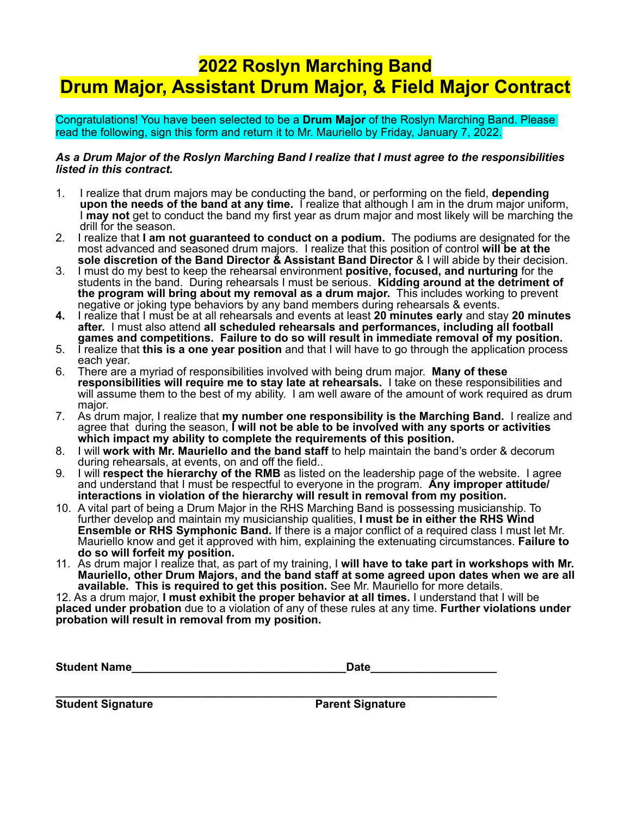## **2022 Roslyn Marching Band Drum Major, Assistant Drum Major, & Field Major Contract**

Congratulations! You have been selected to be a **Drum Major** of the Roslyn Marching Band. Please read the following, sign this form and return it to Mr. Mauriello by Friday, January 7, 2022.

### *As a Drum Major of the Roslyn Marching Band I realize that I must agree to the responsibilities listed in this contract.*

- 1. I realize that drum majors may be conducting the band, or performing on the field, **depending upon the needs of the band at any time.** I realize that although I am in the drum major uniform, I **may not** get to conduct the band my first year as drum major and most likely will be marching the drill for the season.
- 2. I realize that **I am not guaranteed to conduct on a podium.** The podiums are designated for the most advanced and seasoned drum majors. I realize that this position of control **will be at the sole discretion of the Band Director & Assistant Band Director** & I will abide by their decision.
- 3. I must do my best to keep the rehearsal environment **positive, focused, and nurturing** for the students in the band. During rehearsals I must be serious. **Kidding around at the detriment of the program will bring about my removal as a drum major.** This includes working to prevent negative or joking type behaviors by any band members during rehearsals & events.
- **4.** I realize that I must be at all rehearsals and events at least **20 minutes early** and stay **20 minutes after.** I must also attend **all scheduled rehearsals and performances, including all football games and competitions. Failure to do so will result in immediate removal of my position.**
- 5. I realize that **this is a one year position** and that I will have to go through the application process each year.
- 6. There are a myriad of responsibilities involved with being drum major. **Many of these responsibilities will require me to stay late at rehearsals.** I take on these responsibilities and will assume them to the best of my ability. I am well aware of the amount of work required as drum major.
- 7. As drum major, I realize that **my number one responsibility is the Marching Band.** I realize and agree that during the season, **I will not be able to be involved with any sports or activities which impact my ability to complete the requirements of this position.**
- 8. I will **work with Mr. Mauriello and the band staff** to help maintain the band's order & decorum during rehearsals, at events, on and off the field..
- 9. I will **respect the hierarchy of the RMB** as listed on the leadership page of the website. I agree and understand that I must be respectful to everyone in the program. **Any improper attitude/ interactions in violation of the hierarchy will result in removal from my position.**
- 10. A vital part of being a Drum Major in the RHS Marching Band is possessing musicianship. To further develop and maintain my musicianship qualities, **I must be in either the RHS Wind Ensemble or RHS Symphonic Band.** If there is a major conflict of a required class I must let Mr. Mauriello know and get it approved with him, explaining the extenuating circumstances. **Failure to do so will forfeit my position.**
- 11. As drum major I realize that, as part of my training, I **will have to take part in workshops with Mr. Mauriello, other Drum Majors, and the band staff at some agreed upon dates when we are all available. This is required to get this position.** See Mr. Mauriello for more details.

12. As a drum major, **I must exhibit the proper behavior at all times.** I understand that I will be **placed under probation** due to a violation of any of these rules at any time. **Further violations under probation will result in removal from my position.**

| <b>Student Name</b> | ่าate |
|---------------------|-------|
|---------------------|-------|

**\_\_\_\_\_\_\_\_\_\_\_\_\_\_\_\_\_\_\_\_\_\_\_\_\_\_\_\_\_\_\_\_\_\_\_\_\_\_\_\_\_\_\_\_\_\_\_\_\_\_\_\_\_\_\_\_\_\_\_\_\_\_\_\_\_\_\_\_\_\_ Student Signature Parent Signature**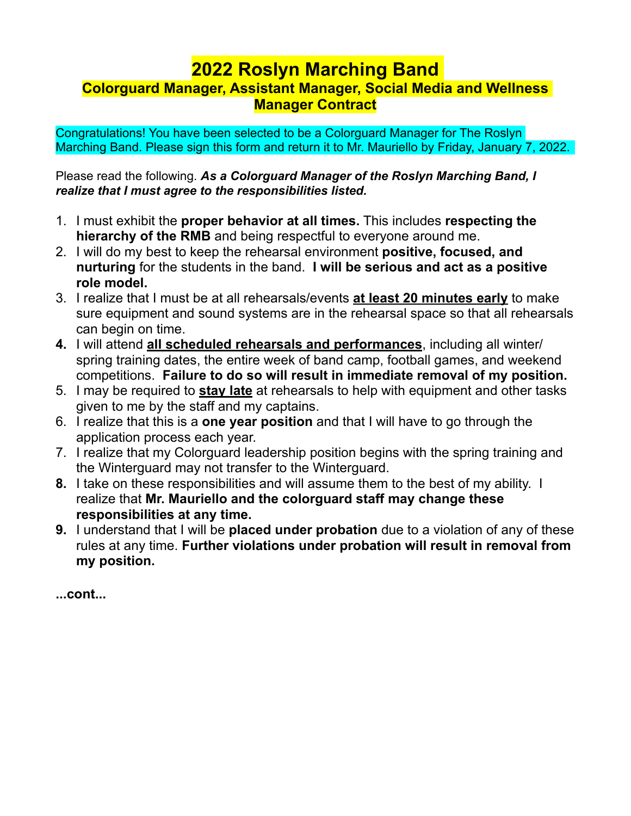### **2022 Roslyn Marching Band Colorguard Manager, Assistant Manager, Social Media and Wellness Manager Contract**

Congratulations! You have been selected to be a Colorguard Manager for The Roslyn Marching Band. Please sign this form and return it to Mr. Mauriello by Friday, January 7, 2022.

Please read the following. *As a Colorguard Manager of the Roslyn Marching Band, I realize that I must agree to the responsibilities listed.*

- 1. I must exhibit the **proper behavior at all times.** This includes **respecting the hierarchy of the RMB** and being respectful to everyone around me.
- 2. I will do my best to keep the rehearsal environment **positive, focused, and nurturing** for the students in the band. **I will be serious and act as a positive role model.**
- 3. I realize that I must be at all rehearsals/events **at least 20 minutes early** to make sure equipment and sound systems are in the rehearsal space so that all rehearsals can begin on time.
- **4.** I will attend **all scheduled rehearsals and performances**, including all winter/ spring training dates, the entire week of band camp, football games, and weekend competitions. **Failure to do so will result in immediate removal of my position.**
- 5. I may be required to **stay late** at rehearsals to help with equipment and other tasks given to me by the staff and my captains.
- 6. I realize that this is a **one year position** and that I will have to go through the application process each year.
- 7. I realize that my Colorguard leadership position begins with the spring training and the Winterguard may not transfer to the Winterguard.
- **8.** I take on these responsibilities and will assume them to the best of my ability. I realize that **Mr. Mauriello and the colorguard staff may change these responsibilities at any time.**
- **9.** I understand that I will be **placed under probation** due to a violation of any of these rules at any time. **Further violations under probation will result in removal from my position.**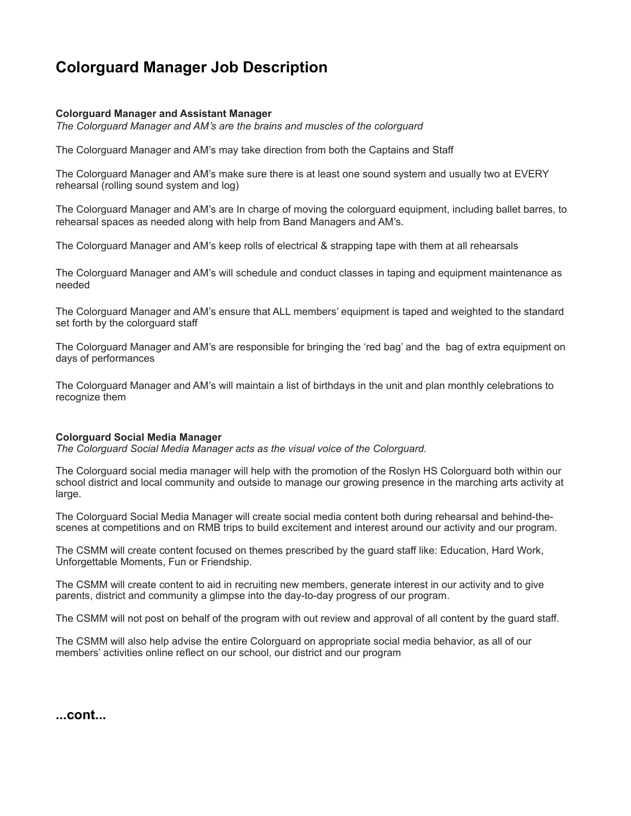### **Colorguard Manager Job Description**

#### **Colorguard Manager and Assistant Manager**

*The Colorguard Manager and AM's are the brains and muscles of the colorguard*

The Colorguard Manager and AM's may take direction from both the Captains and Staff

The Colorguard Manager and AM's make sure there is at least one sound system and usually two at EVERY rehearsal (rolling sound system and log)

The Colorguard Manager and AM's are In charge of moving the colorguard equipment, including ballet barres, to rehearsal spaces as needed along with help from Band Managers and AM's.

The Colorguard Manager and AM's keep rolls of electrical & strapping tape with them at all rehearsals

The Colorguard Manager and AM's will schedule and conduct classes in taping and equipment maintenance as needed

The Colorguard Manager and AM's ensure that ALL members' equipment is taped and weighted to the standard set forth by the colorguard staff

The Colorguard Manager and AM's are responsible for bringing the 'red bag' and the bag of extra equipment on days of performances

The Colorguard Manager and AM's will maintain a list of birthdays in the unit and plan monthly celebrations to recognize them

#### **Colorguard Social Media Manager**

*The Colorguard Social Media Manager acts as the visual voice of the Colorguard.*

The Colorguard social media manager will help with the promotion of the Roslyn HS Colorguard both within our school district and local community and outside to manage our growing presence in the marching arts activity at large.

The Colorguard Social Media Manager will create social media content both during rehearsal and behind-thescenes at competitions and on RMB trips to build excitement and interest around our activity and our program.

The CSMM will create content focused on themes prescribed by the guard staff like: Education, Hard Work, Unforgettable Moments, Fun or Friendship.

The CSMM will create content to aid in recruiting new members, generate interest in our activity and to give parents, district and community a glimpse into the day-to-day progress of our program.

The CSMM will not post on behalf of the program with out review and approval of all content by the guard staff.

The CSMM will also help advise the entire Colorguard on appropriate social media behavior, as all of our members' activities online reflect on our school, our district and our program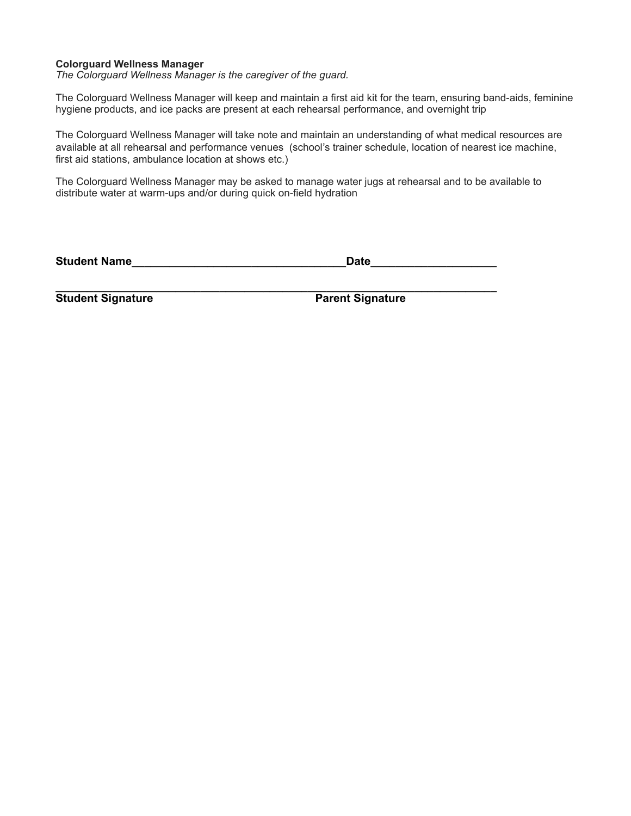#### **Colorguard Wellness Manager**

*The Colorguard Wellness Manager is the caregiver of the guard.*

The Colorguard Wellness Manager will keep and maintain a first aid kit for the team, ensuring band-aids, feminine hygiene products, and ice packs are present at each rehearsal performance, and overnight trip

The Colorguard Wellness Manager will take note and maintain an understanding of what medical resources are available at all rehearsal and performance venues (school's trainer schedule, location of nearest ice machine, first aid stations, ambulance location at shows etc.)

The Colorguard Wellness Manager may be asked to manage water jugs at rehearsal and to be available to distribute water at warm-ups and/or during quick on-field hydration

**Student Name\_\_\_\_\_\_\_\_\_\_\_\_\_\_\_\_\_\_\_\_\_\_\_\_\_\_\_\_\_\_\_\_\_\_Date\_\_\_\_\_\_\_\_\_\_\_\_\_\_\_\_\_\_\_\_**

**\_\_\_\_\_\_\_\_\_\_\_\_\_\_\_\_\_\_\_\_\_\_\_\_\_\_\_\_\_\_\_\_\_\_\_\_\_\_\_\_\_\_\_\_\_\_\_\_\_\_\_\_\_\_\_\_\_\_\_\_\_\_\_\_\_\_\_\_\_\_ Student Signature Parent Signature**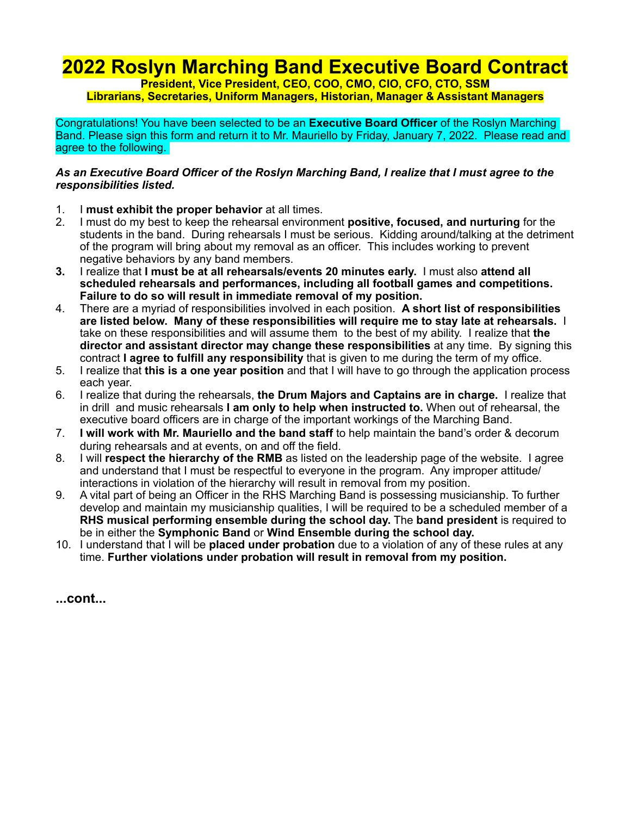## **2022 Roslyn Marching Band Executive Board Contract**

**President, Vice President, CEO, COO, CMO, CIO, CFO, CTO, SSM Librarians, Secretaries, Uniform Managers, Historian, Manager & Assistant Managers**

Congratulations! You have been selected to be an **Executive Board Officer** of the Roslyn Marching Band. Please sign this form and return it to Mr. Mauriello by Friday, January 7, 2022. Please read and agree to the following.

### *As an Executive Board Officer of the Roslyn Marching Band, I realize that I must agree to the responsibilities listed.*

- 1. I **must exhibit the proper behavior** at all times.
- 2. I must do my best to keep the rehearsal environment **positive, focused, and nurturing** for the students in the band. During rehearsals I must be serious. Kidding around/talking at the detriment of the program will bring about my removal as an officer. This includes working to prevent negative behaviors by any band members.
- **3.** I realize that **I must be at all rehearsals/events 20 minutes early.** I must also **attend all scheduled rehearsals and performances, including all football games and competitions. Failure to do so will result in immediate removal of my position.**
- 4. There are a myriad of responsibilities involved in each position. **A short list of responsibilities are listed below. Many of these responsibilities will require me to stay late at rehearsals.** I take on these responsibilities and will assume them to the best of my ability. I realize that **the director and assistant director may change these responsibilities** at any time. By signing this contract **I agree to fulfill any responsibility** that is given to me during the term of my office.
- 5. I realize that **this is a one year position** and that I will have to go through the application process each year.
- 6. I realize that during the rehearsals, **the Drum Majors and Captains are in charge.** I realize that in drill and music rehearsals **I am only to help when instructed to.** When out of rehearsal, the executive board officers are in charge of the important workings of the Marching Band.
- 7. **I will work with Mr. Mauriello and the band staff** to help maintain the band's order & decorum during rehearsals and at events, on and off the field.
- 8. I will **respect the hierarchy of the RMB** as listed on the leadership page of the website. I agree and understand that I must be respectful to everyone in the program. Any improper attitude/ interactions in violation of the hierarchy will result in removal from my position.
- 9. A vital part of being an Officer in the RHS Marching Band is possessing musicianship. To further develop and maintain my musicianship qualities, I will be required to be a scheduled member of a **RHS musical performing ensemble during the school day.** The **band president** is required to be in either the **Symphonic Band** or **Wind Ensemble during the school day.**
- 10. I understand that I will be **placed under probation** due to a violation of any of these rules at any time. **Further violations under probation will result in removal from my position.**